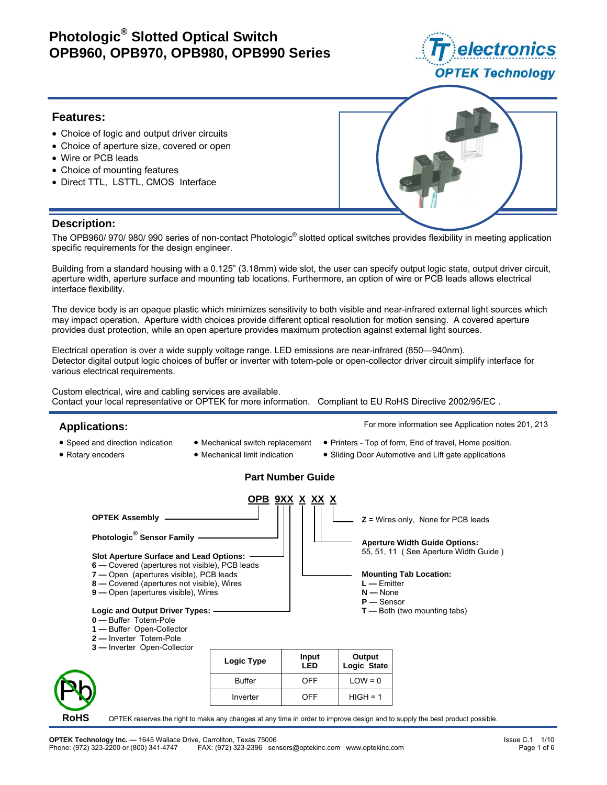

#### **Features:**

- Choice of logic and output driver circuits
- Choice of aperture size, covered or open
- Wire or PCB leads
- Choice of mounting features
- Direct TTL, LSTTL, CMOS Interface



#### **Description:**

The OPB960/ 970/ 980/ 990 series of non-contact Photologic® slotted optical switches provides flexibility in meeting application specific requirements for the design engineer.

Building from a standard housing with a 0.125" (3.18mm) wide slot, the user can specify output logic state, output driver circuit, aperture width, aperture surface and mounting tab locations. Furthermore, an option of wire or PCB leads allows electrical interface flexibility.

The device body is an opaque plastic which minimizes sensitivity to both visible and near-infrared external light sources which may impact operation. Aperture width choices provide different optical resolution for motion sensing. A covered aperture provides dust protection, while an open aperture provides maximum protection against external light sources.

Electrical operation is over a wide supply voltage range. LED emissions are near-infrared (850—940nm). Detector digital output logic choices of buffer or inverter with totem-pole or open-collector driver circuit simplify interface for various electrical requirements.

Custom electrical, wire and cabling services are available. Contact your local representative or OPTEK for more information. Compliant to EU RoHS Directive 2002/95/EC .

#### **Applications:**

- Speed and direction indication
- Rotary encoders
- Mechanical switch replacement
	- Mechanical limit indication
- 

For more information see Application notes 201, 213

- Printers Top of form, End of travel, Home position.
- Sliding Door Automotive and Lift gate applications

## **Part Number Guide**

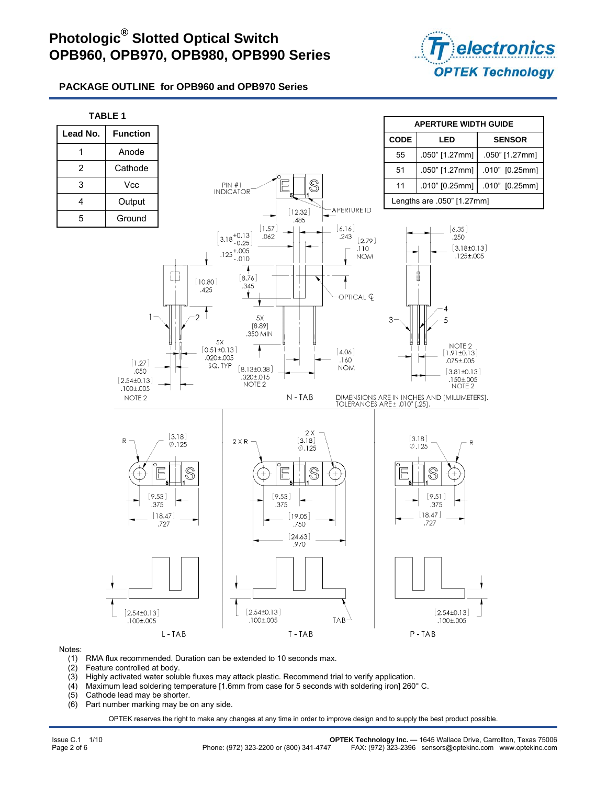

## **PACKAGE OUTLINE for OPB960 and OPB970 Series**



#### Notes:

- (1) RMA flux recommended. Duration can be extended to 10 seconds max.
- (2) Feature controlled at body.
- (3) Highly activated water soluble fluxes may attack plastic. Recommend trial to verify application.
- (4) Maximum lead soldering temperature [1.6mm from case for 5 seconds with soldering iron] 260° C.
- (5) Cathode lead may be shorter.
- (6) Part number marking may be on any side.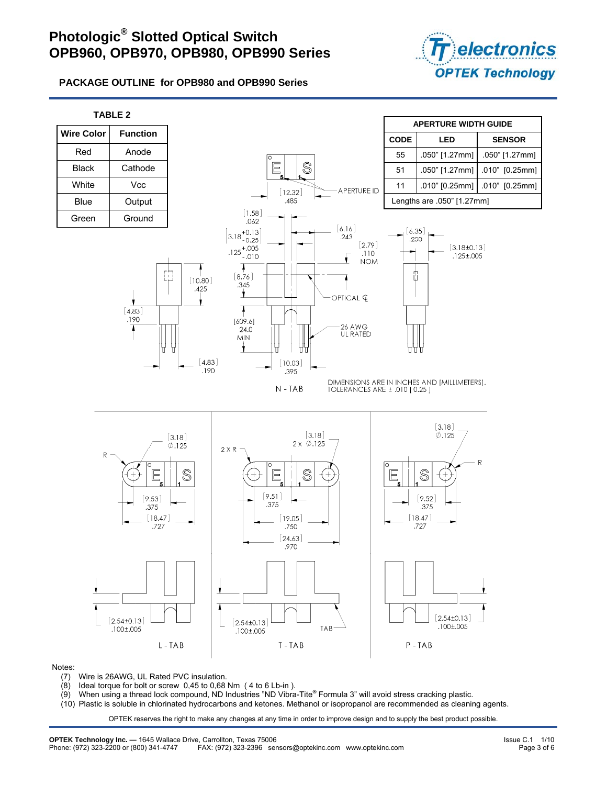

**PACKAGE OUTLINE for OPB980 and OPB990 Series** 



#### Notes:

- (7) Wire is 26AWG, UL Rated PVC insulation.
- $(8)$  Ideal torque for bolt or screw 0,45 to 0,68 Nm  $(4 \text{ to } 6 \text{ Lb-in})$ .
- (9) When using a thread lock compound, ND Industries "ND Vibra-Tite**®** Formula 3" will avoid stress cracking plastic.
- (10) Plastic is soluble in chlorinated hydrocarbons and ketones. Methanol or isopropanol are recommended as cleaning agents.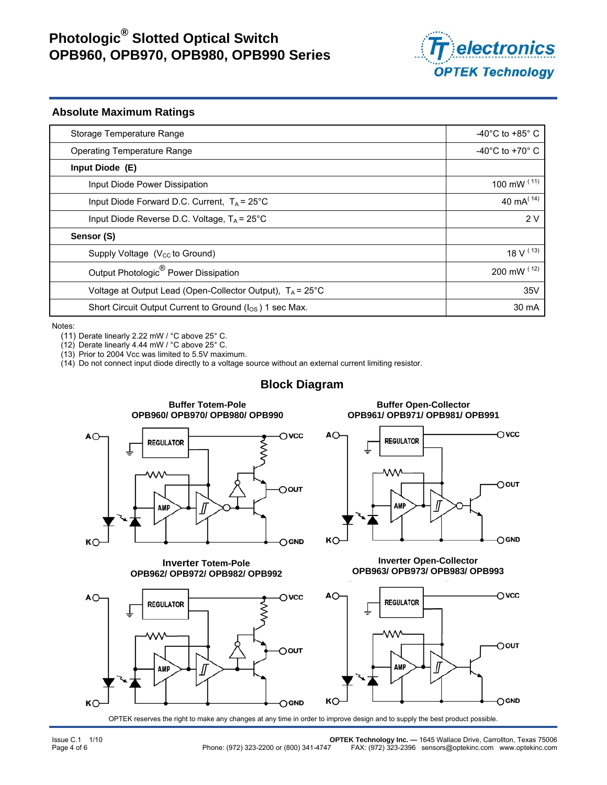

#### **Absolute Maximum Ratings**

| Storage Temperature Range                                            | -40 $^{\circ}$ C to +85 $^{\circ}$ C |
|----------------------------------------------------------------------|--------------------------------------|
| Operating Temperature Range                                          | -40 $^{\circ}$ C to +70 $^{\circ}$ C |
| Input Diode (E)                                                      |                                      |
| Input Diode Power Dissipation                                        | 100 mW $(11)$                        |
| Input Diode Forward D.C. Current, $T_A = 25^{\circ}$ C               | 40 mA $(14)$                         |
| Input Diode Reverse D.C. Voltage, $T_A$ = 25°C                       | 2V                                   |
| Sensor (S)                                                           |                                      |
| Supply Voltage $(V_{\rm CC}$ to Ground)                              | 18 V $(13)$                          |
| Output Photologic <sup>®</sup> Power Dissipation                     | 200 mW (12)                          |
| Voltage at Output Lead (Open-Collector Output), $T_A = 25^{\circ}$ C | 35V                                  |
| Short Circuit Output Current to Ground (I <sub>OS</sub> ) 1 sec Max. | 30 mA                                |

Notes:

(11) Derate linearly 2.22 mW / °C above 25° C.

(12) Derate linearly 4.44 mW / °C above 25° C.

(13) Prior to 2004 Vcc was limited to 5.5V maximum.

(14) Do not connect input diode directly to a voltage source without an external current limiting resistor.

## **Block Diagram**



**Inverter Totem-Pole OPB962/ OPB972/ OPB982/ OPB992**



**Buffer Open-Collector OPB961/ OPB971/ OPB981/ OPB991** 



**Inverter Open-Collector OPB963/ OPB973/ OPB983/ OPB993** 

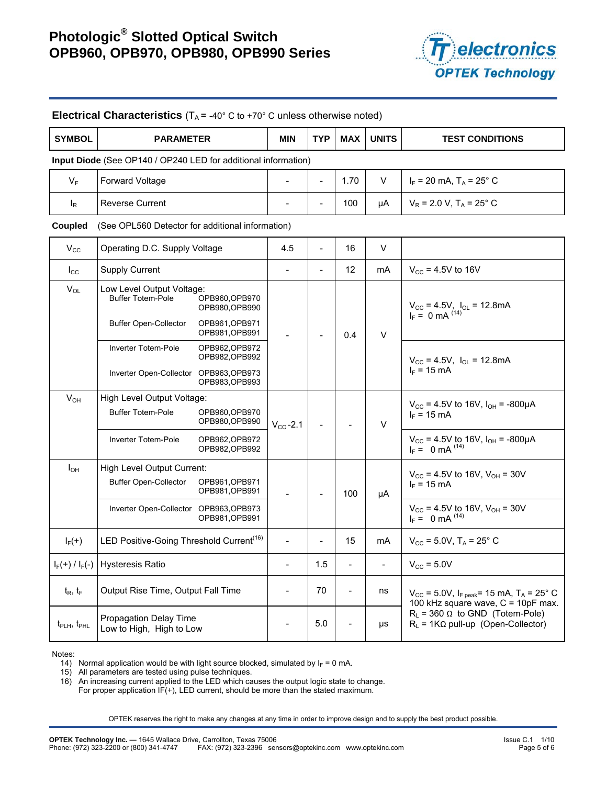

| <b>SYMBOL</b>                                                  | <b>PARAMETER</b>                                                                                                                            |  | <b>MIN</b>     | <b>TYP</b>               | <b>MAX</b>               | <b>UNITS</b>   | <b>TEST CONDITIONS</b>                                                                             |  |
|----------------------------------------------------------------|---------------------------------------------------------------------------------------------------------------------------------------------|--|----------------|--------------------------|--------------------------|----------------|----------------------------------------------------------------------------------------------------|--|
| Input Diode (See OP140 / OP240 LED for additional information) |                                                                                                                                             |  |                |                          |                          |                |                                                                                                    |  |
| $V_F$                                                          | <b>Forward Voltage</b>                                                                                                                      |  |                | $\overline{a}$           | 1.70                     | V              | $I_F$ = 20 mA, T <sub>A</sub> = 25° C                                                              |  |
| $I_R$                                                          | <b>Reverse Current</b>                                                                                                                      |  |                |                          | 100                      | μA             | $V_R$ = 2.0 V, T <sub>A</sub> = 25° C                                                              |  |
| Coupled                                                        | (See OPL560 Detector for additional information)                                                                                            |  |                |                          |                          |                |                                                                                                    |  |
| $V_{\rm CC}$                                                   | Operating D.C. Supply Voltage                                                                                                               |  | 4.5            | $\blacksquare$           | 16                       | V              |                                                                                                    |  |
| $I_{\rm CC}$                                                   | <b>Supply Current</b>                                                                                                                       |  | $\frac{1}{2}$  | $\overline{\phantom{a}}$ | 12                       | mA             | $V_{\text{cc}}$ = 4.5V to 16V                                                                      |  |
| $V_{OL}$                                                       | Low Level Output Voltage:<br><b>Buffer Totem-Pole</b><br>OPB960, OPB970<br>OPB980, OPB990<br><b>Buffer Open-Collector</b><br>OPB961, OPB971 |  |                |                          | 0.4                      | $\vee$         | $V_{CC} = 4.5V$ , $I_{OL} = 12.8mA$<br>$I_F = 0 mA$ (14)                                           |  |
|                                                                | OPB981, OPB991<br>Inverter Totem-Pole<br>OPB962, OPB972<br>OPB982, OPB992<br>Inverter Open-Collector OPB963, OPB973<br>OPB983, OPB993       |  |                |                          |                          |                | $V_{CC}$ = 4.5V, $I_{OL}$ = 12.8mA<br>$I_F = 15 \text{ mA}$                                        |  |
| $V_{OH}$                                                       | High Level Output Voltage:<br><b>Buffer Totem-Pole</b><br>OPB960, OPB970<br>OPB980, OPB990                                                  |  | $V_{CC}$ -2.1  |                          |                          | V              | $V_{CC}$ = 4.5V to 16V, $I_{OH}$ = -800µA<br>$I_F = 15 \text{ mA}$                                 |  |
|                                                                | Inverter Totem-Pole<br>OPB962, OPB972<br>OPB982, OPB992                                                                                     |  |                |                          |                          |                | $V_{CC}$ = 4.5V to 16V, $I_{OH}$ = -800µA<br>$I_F = 0$ mA $^{(14)}$                                |  |
| $I_{OH}$                                                       | High Level Output Current:<br><b>Buffer Open-Collector</b><br>OPB961, OPB971<br>OPB981, OPB991                                              |  |                |                          | 100                      | μA             | $V_{\text{CC}}$ = 4.5V to 16V, V <sub>OH</sub> = 30V<br>$I_F = 15 \text{ mA}$                      |  |
|                                                                | Inverter Open-Collector OPB963, OPB973<br>OPB981, OPB991                                                                                    |  |                |                          |                          |                | $V_{CC}$ = 4.5V to 16V, $V_{OH}$ = 30V<br>$I_F = 0$ mA $^{(14)}$                                   |  |
| $I_F(+)$                                                       | LED Positive-Going Threshold Current <sup>(16)</sup>                                                                                        |  |                |                          | 15                       | mA             | $V_{CC}$ = 5.0V, T <sub>A</sub> = 25° C                                                            |  |
| $I_F(+) / I_F(-)$                                              | <b>Hysteresis Ratio</b>                                                                                                                     |  | $\overline{a}$ | 1.5                      | $\overline{\phantom{a}}$ | $\blacksquare$ | $V_{CC}$ = 5.0V                                                                                    |  |
| $t_{\rm R}$ , $t_{\rm F}$                                      | Output Rise Time, Output Fall Time                                                                                                          |  | $\overline{a}$ | 70                       | $\overline{\phantom{a}}$ | ns             | $V_{CC}$ = 5.0V, $I_{F \text{ peak}}$ = 15 mA, $T_A$ = 25° C<br>100 kHz square wave, C = 10pF max. |  |
| $t_{\text{PLH}}$ , $t_{\text{PHL}}$                            | Propagation Delay Time<br>Low to High, High to Low                                                                                          |  |                | 5.0                      |                          | μs             | $R_L$ = 360 $\Omega$ to GND (Totem-Pole)<br>$R_L$ = 1K $\Omega$ pull-up (Open-Collector)           |  |

**Electrical Characteristics**  $(T_A = -40^\circ \text{ C to } +70^\circ \text{ C}$  unless otherwise noted)

Notes:

14) Normal application would be with light source blocked, simulated by  $I_F = 0$  mA.

15) All parameters are tested using pulse techniques.

16) An increasing current applied to the LED which causes the output logic state to change.

For proper application IF(+), LED current, should be more than the stated maximum.